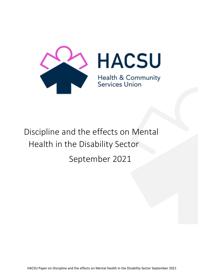

# Discipline and the effects on Mental Health in the Disability Sector September 2021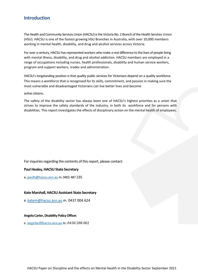# **Introduction**

The Health and Community Services Union (HACSU) is the Victoria No. 2 Branch of the Health Services Union (HSU). HACSU is one of the fastest growing HSU Branches in Australia, with over 10,000 members working in mental health, disability, and drug and alcohol services across Victoria.

For over a century, HACSU has represented workers who make a real difference to the lives of people living with mental illness, disability, and drug and alcohol addiction. HACSU members are employed in a range of occupations including nurses, health professionals, disability and human service workers, program and support workers, trades and administration.

HACSU's longstanding position is that quality public services for Victorians depend on a quality workforce. This means a workforce that is recognised for its skills, commitment, and passion in making sure the most vulnerable and disadvantaged Victorians can live better lives and become

active citizens.

The safety of the disability sector has always been one of HACSU's highest priorities as a union that strives to improve the safety standards of the industry, in both its workforce and for persons with disabilities. This report investigates the effects of disciplinary action on the mental health of employees.

For inquiries regarding the contents of this report, please contact:

#### **Paul Healey, HACSU State Secretary**

e**.** paulh@hacsu.asn.au m. 0401 487 235

#### **Kate Marshall, HACSU Assistant State Secretary**

e. katem@hacsu.asn.au m. 0437 004 624

#### **Angela Carter, Disability Policy Officer**,

e. [angelac@hacsu.asn.au](mailto:angelac@hacsu.asn.au) m. 0438 288 002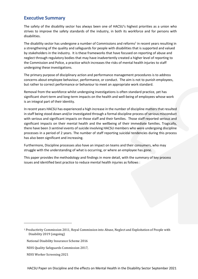# **Executive Summary**

The safety of the disability sector has always been one of HACSU's highest priorities as a union who strives to improve the safety standards of the industry, in both its workforce and for persons with disabilities.

The disability sector has undergone a number of Commissions and reforms<sup>1</sup> in recent years resulting in a strengthening of the quality and safeguards for people with disabilities that is supported and valued by stakeholders in the industry. It is these frameworks that have focused on reporting of abuse and neglect through regulatory bodies that may have inadvertently created a higher level of reporting to the Commission and Police, a practice which increases the risks of mental health injuries to staff undergoing these investigations.

The primary purpose of disciplinary action and performance management procedures is to address concerns about employee behaviour, performance, or conduct. The aim is not to punish employees, but rather to correct performance or behaviour to meet an appropriate work standard.

Removal from the workforce whilst undergoing investigations is often standard practice, yet has significant short-term and long-term impacts on the health and well-being of employees whose work is an integral part of their identity.

In recent years HACSU has experienced a high increase in the number of discipline matters that resulted in staff being stood down and/or investigated through a formal discipline process of serious misconduct with serious and significant impacts on those staff and their families. Those staff reported serious and significant impacts on their mental health and the wellbeing of their immediate families. Tragically, there have been 3 sentinel events of suicide involving HACSU members who were undergoing discipline processes in a period of 2 years. The number of staff reporting suicidal tendencies during this process has also been significant and increasing.

Furthermore, Discipline processes also have an impact on teams and their consumers, who may struggle with the understanding of what is occurring, or where an employee has gone.

This paper provides the methodology and findings in more detail, with the summary of key process issues and identified best practice to reduce mental health injuries as follows :

<sup>1</sup> Productivity Commission 2011, Royal Commission into Abuse, Neglect and Exploitation of People with Disability 2019 (ongoing)

National Disability Insurance Scheme 2016

NDIS Quality Safeguards Commission 2017,

NDIS Worker Screening 2021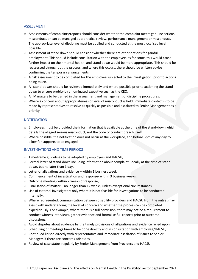#### ASSESSMENT

- o Assessments of complaints/reports should consider whether the complaint meets genuine serious misconduct, or can be managed as a practice review, performance management or misconduct. The appropriate level of discipline must be applied and conducted at the most localised level possible.
- o Assessment of stand down should consider whether there are other options for gainful employment. This should include consultation with the employee, as for some, this would cause further impact on their mental health, and stand down would be more appropriate. This should be reassessed throughout the process, and where this occurs, there should be written advise confirming the temporary arrangements.
- $\circ$  A risk assessment to be completed for the employee subjected to the investigation, prior to actions being taken.
- o All stand-downs should be reviewed immediately and where possible prior to actioning the standdown to ensure probity by a nominated executive such as the CEO.
- $\circ$  All Managers to be trained in the assessment and management of discipline procedures.
- $\circ$  Where a concern about appropriateness of level of misconduct is held, immediate contact is to be made by representatives to resolve as quickly as possible and escalated to Senior Management as a priority.

#### **NOTIFICATION**

- $\circ$  Employees must be provided the information that is available at the time of the stand-down which details the alleged serious misconduct, not the code of conduct breach itself.
- $\circ$  Where possible, the notification does not occur at the workplace, and before 3pm of any day to allow for supports to be engaged.

#### INVESTIGATIONS AND TIME PERIODS

- o Time-frame guidelines to be adopted by employers and HACSU,
- o Formal letter of stand-down including information about complaint- ideally at the time of stand down, but no later than 1 day,
- $\circ$  Letter of allegations and evidence within 1 business week,
- o Commencement of investigation and response- within 3 business weeks,
- o Outcome meeting- within 2 weeks of response,
- $\circ$  Finalisation of matter no longer than 12 weeks, unless exceptional circumstances,
- $\circ$  Use of external Investigators only where it is not feasible for investigations to be conducted internally,
- o Where represented, communication between disability providers and HACSU from the outset may assist with understanding the level of concern and whether the process can be completed expeditiously. For example, where there is a full admission, there may not be a requirement to conduct witness interviews, gather evidence and formalise full reports prior to outcome discussions,
- $\circ$  Avoid disputes about evidence by the timely provisions of allegations and evidence relied upon,
- $\circ$  Scheduling of meetings times to be done directly and in consultation with employee/HACSU,
- o Continued liaison directly with representative and immediate escalation of issues to Senior Managers if there are concerns /disputes,
- o Review of case status regularly by Senior Management from Providers and HACSU.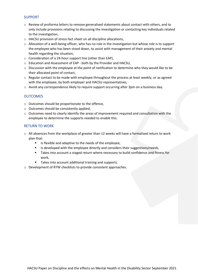#### SUPPORT

- o Review of proforma letters to remove generalised statements about contact with others, and to only include provisions relating to discussing the investigation or contacting key individuals related to the investigation,
- o HACSU provision of stress fact sheet on all discipline allocations,
- $\circ$  Allocation of a well-being officer, who has no role in the investigation but whose role is to support the employee who has been stood down, to assist with management of their anxiety and mental health regarding the situation,
- o Consideration of a 24-hour support line (other than EAP),
- o Education and Assessment of EAP both by the Provider and HACSU,
- $\circ$  Discussion with the employee at the point of notification to determine who they would like to be their allocated point of contact,
- $\circ$  Regular contact to be made with employee throughout the process at least weekly, or as agreed with the employee, by both employer and HACSU representatives,
- $\circ$  Avoid any correspondence likely to require support occurring after 3pm on a business day.

#### **OUTCOMES**

- o Outcomes should be proportionate to the offence,
- o Outcomes should be consistently applied,
- $\circ$  Outcomes need to clearly identify the areas of improvement required and consultation with the employee to determine the supports needed to enable this.

#### RETURN TO WORK

- o All absences from the workplace of greater than 12 weeks will have a formalised return to work plan that:
	- Is flexible and adaptive to the needs of the employee,
	- Is developed with the employee directly and considers their suggestions/needs,
	- Takes into account a staged return where necessary to build confidence and fitness for work,
	- Takes into account additional training and supports.
- o Development of RTW checklists to provide consistent approaches.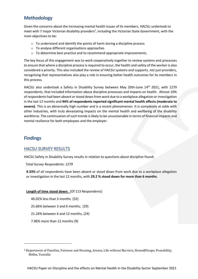# **Methodology**

Given the concerns about the increasing mental health issues of its members, HACSU undertook to meet with 7 major Victorian disability providers<sup>2</sup>, including the Victorian State Government, with the main objectives to be:

- o To understand and identify the points of harm during a discipline process
- o To analyse different organisations approaches
- o To determine best practice and to recommend appropriate improvements.

The key focus of this engagement was to work cooperatively together to review systems and processes to ensure that where a discipline process is required to occur, the health and safety of the worker is also considered a priority. This also included the review of HACSU systems and supports, not just providers, recognising that representatives also play a role in ensuring better health outcomes for its members in this process.

HACSU also undertook a Safety in Disability Survey between May 20th-June  $14<sup>th</sup>$  2021, with 1279 respondents, that included information about discipline processes and impacts on health. Almost 10% of respondents had been absent or stood down from work due to a workplace allegation or investigation in the last 12 months and **94% of respondents reported significant mental health affects (moderate to severe)**. This is an abnormally high number and is a recent phenomenon. It is completely at odds with other industries, with truly devastating impacts on the mental health and wellbeing of the disability workforce. The continuation of such trends is likely to be unsustainable in terms of financial impacts and mental resilience for both employees and the employer.

## **Findings**

#### HACSU SURVEY RESULTS

HACSU Safety in Disability Survey results in relation to questions about discipline found:

*Total Survey Respondents: 1279* 

**9.33%** of all respondents have been absent or stood down from work due to a workplace allegation or investigation in the last 12 months, with **29.2 % stood down for more than 6 months**.

#### **Length of time stood down:** (Of 113 Respondents)

46.02% less than 3 months (52)

25.66% between 3 and 6 months; (29)

21.24% between 6 and 12 months, (24)

7.96% more than 12 months (9)

<sup>2</sup> Department of Families, Fairness and Housing, Aruma, Life without Barriers, Home@Scope, Possability, Melba, Yooralla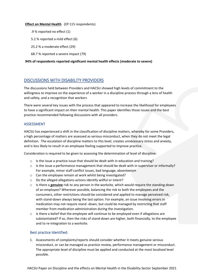#### **Effect on Mental Health** (Of 115 respondents)

- .9 % reported no effect (1)
- 5.2 % reported a mild effect (6)
- 25.2 % a moderate effect (29)
- 68.7 % reported a severe impact (79)

#### **94% of respondents reported significant mental health effects (moderate to severe)**

### DISCUSSIONS WITH DISABILITY PROVIDERS

The discussions held between Providers and HACSU showed high levels of commitment to the willingness to improve on the experience of a worker in a discipline process through a lens of health and safety, and a recognition that workers

There were several key issues with the process that appeared to increase the likelihood for employees to have a significant impact on their mental health. This paper identifies those issues and the best practice recommended following discussions with all providers.

#### ASSESSMENT

HACSU has experienced a shift in the classification of discipline matters, whereby for some Providers, a high percentage of matters are assessed as serious misconduct, when they do not meet the legal definition. The escalation of discipline matters to this level, creates unnecessary stress and anxiety, and is less likely to result in an employee feeling supported to improve practice.

Consideration is required to be given to assessing the determination of level of discipline:

- o Is the issue a practice issue that should be dealt with in education and training?
- o Is the issue a performance management that should be dealt with in supervisor or informally? For example, minor staff conflict issues, bad language, absenteeism
- o Can the employee remain at work whilst being investigated?
- o Do the alleged allegations actions identify willful or intent?
- o Is there a **genuine** risk to any person in the worksite, which would require the standing down of an employee? Wherever possible, balancing the risk to both the employees and the consumers, other restrictions should be considered and applied to manage perceived risk, with stand-down always being the last option. For example, an issue involving errors in medication may not require stand -down, but could be managed by restricting that staff member from medication administration during the investigation.
- $\circ$  Is there a belief that the employee will continue to be employed even if allegations are substantiated? If so, then the risks of stand-down are higher, both financially, to the employee and to re-integration to a worksite.

#### Best practice Identified:

1. Assessments of complaints/reports should consider whether it meets genuine serious misconduct, or can be managed as practice review, performance management or misconduct. The appropriate level of discipline must be applied and conducted at the most localised level possible.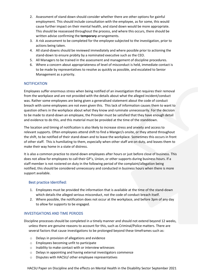- 2. Assessment of stand down should consider whether there are other options for gainful employment. This should include consultation with the employee, as for some, this would cause further impact on their mental health, and stand down would be more appropriate. This should be reassessed throughout the process, and where this occurs, there should be written advise confirming the **temporary** arrangements.
- 3. A risk assessment to be completed for the employee subjected to the investigation, prior to actions being taken.
- 4. All stand-downs should be reviewed immediately and where possible prior to actioning the stand-down to ensure probity by a nominated executive such as the CEO.
- 5. All Managers to be trained in the assessment and management of discipline procedures.
- 6. Where a concern about appropriateness of level of misconduct is held, immediate contact is to be made by representatives to resolve as quickly as possible, and escalated to Senior Management as a priority.

#### **NOTIFICATION**

Employees suffer enormous stress when being notified of an investigation that requires their removal from the workplace and are not provided with the details about what the alleged incident/conduct was. Rather some employees are being given a generalised statement about the code of conduct breach with some employees are not even given this. This lack of information causes them to want to question others in the workplace about what they know and ruminate unnecessarily. For the decision to be made to stand-down an employee, the Provider must be satisfied that they have enough detail and evidence to do this, and this material must be provided at the time of the standdown.

The location and timing of notification is also likely to increase stress and anxiety and access to relevant supports. Often employees attend shift to find a Manger/s onsite, or they attend throughout the shift, to be notified of their stand-down and to leave the workplace. Sometimes this occurs in front of other staff. This is humiliating to them, especially when other staff are on duty, and leaves them to make their way home in a state of distress.

It is also a common practice to stand-down employees after hours or just before close of business. This does not allow for employees to call their GP's, Union, or other supports during business hours. If a staff member is not rostered on duty in the following period of the complaint/allegation being notified, this should be considered unnecessary and conducted in business hours when there is more support available.

#### Best practice Identified:

- 1. Employees must be provided the information that is available at the time of the stand-down which details the alleged serious misconduct, not the code of conduct breach itself.
- 2. Where possible, the notification does not occur at the workplace, and before 3pm of any day to allow for supports to be engaged.

#### INVESTIGATIONS AND TIME PERIODS

Discipline processes should be completed in a timely manner and should not extend beyond 12 weeks, unless there are genuine reasons to account for this, such as Criminal/Police matters. There are several factors that cause investigations to be prolonged beyond these timeframes such as:

- o Delays in provision of allegations and evidence
- o Employees becoming unfit to participate
- o Inability to make contact with or interview witnesses
- o Delays in appointing and having external investigators commence
- o Disputes with HACSU/ other employee representatives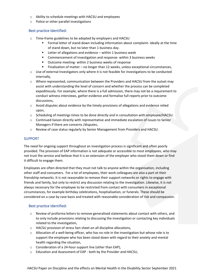- o Ability to schedule meetings with HACSU and employees
- o Police or other parallel investigations

#### Best practice Identified:

- o Time-frame guidelines to be adopted by employers and HACSU
	- Formal letter of stand-down including information about complaint- ideally at the time of stand down, but no later than 1 business day.
	- Letter of allegations and evidence within 1 business week
	- Commencement of investigation and response- within 3 business weeks
	- Outcome meeting- within 2 business weeks of response
	- Finalisation of matter no longer than 12 weeks, unless exceptional circumstances,
- o Use of external Investigators only where it is not feasible for investigations to be conducted internally,
- o Where represented, communication between the Providers and HACSU from the outset may assist with understanding the level of concern and whether the process can be completed expeditiously. For example, where there is a full admission, there may not be a requirement to conduct witness interviews, gather evidence and formalise full reports prior to outcome discussions,
- $\circ$  Avoid disputes about evidence by the timely provisions of allegations and evidence relied upon,
- $\circ$  Scheduling of meetings times to be done directly and in consultation with employee/HACSU.
- $\circ$  Continued liaison directly with representative and immediate escalation of issues to Senior Managers if there are concerns /disputes,
- o Review of case status regularly by Senior Management from Providers and HACSU.

#### SUPPORT

The need for ongoing support throughout an investigation process is significant and often poorly provided. The provision of EAP information is not adequate or accessible to most employees, who may not trust the service and believe that it is an extension of the employer who stood them down or find it difficult to engage them.

Employees are often directed that they must not talk to anyone within the organisation, including other staff and consumers. For a lot of employees, their work colleagues are also a part ot their friendship networks. It is not reasonable to remove their support networks or rights to engage with friends and family, but only to restrict any discussion relating to the investigation. Likewise, it is not always necessary for the employee to be restricted from contact with consumers in exceptional circumstances, for example birthday celebrations, hosptialisation, or funerals. These should be considered on a case by case basis and treated with reasonable consideration of risk and compassion.

#### Best practice Identified:

- $\circ$  Review of proforma letters to remove generalised statements about contact with others, and to only include provisions relating to discussing the investigation or contacting key individuals related to the investigation,
- o HACSU provision of stress fact sheet on all discipline allocations,
- $\circ$  Allocation of a well-being officer, who has no role in the investigation but whose role is to support the employee who has been stood down with regard to their anxiety and mental health regarding the situation,
- o Consideration of a 24-hour support line (other than EAP),
- o Education and Assessment of EAP both by the Provider and HACSU,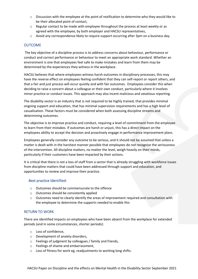- $\circ$  Discussion with the employee at the point of notification to determine who they would like to be their allocated point of contact,
- $\circ$  Regular contact to be made with employee throughout the process at least weekly or as agreed with the employee, by both employer and HACSU representatives,
- o Avoid any correspondence likely to require support occurring after 3pm on a business day.

#### **OUTCOME**

The key objective of a discipline process is to address concerns about behaviour, performance or conduct and correct performance or behaviour to meet an appropriate work standard. Whether an environment is one that employees feel safe to make mistakes and learn from them may be determined by the experiences they witness in the workplace.

HACSU believes that where employees witness harsh outcomes in disciplinary processes, this may have the reverse effect on employees feeling confident that they can self-report or report others, and that a fair and just process will occur quickly and with fair outcomes. Employees consider this when deciding to raise a concern about a colleague or their own conduct, particularly where it involves minor practice or conduct issues. This approach may also incent malicious and vexatious reporting.

The disability sector is an industry that is not required to be highly trained, that provides minimal ongoing support and education, that has minimal supervision requirements and has a high level of casualisation. These factors must be considered when both assessing discipline streams and determining outcomes.

The objective is to improve practice and conduct, requiring a level of commitment from the employee to learn from their mistakes. If outcomes are harsh or unjust, this has a direct impact on the employees ability to accept the decision and proactively engage in performance improvement plans.

Employees generally consider any outcome to be serious, and it should not be assumed that unless a matter is dealt with in the harshest manner possible that employees do not recognise the seriousness of the intervention. All discipline matters, no matter the level, weigh heavily on their minds, particularly if their customers have been impacted by their actions.

It is critical that there is not a loss of staff from a sector that is already struggling with workforce issues from discipline matters that could have been addressed through support and education, and opportunities to review and improve their practice.

#### Best practice Identified:

- o Outcomes should be commensurate to the offence
- o Outcomes should be consistently applied
- $\circ$  Outcomes need to clearly identify the areas of improvement required and consultation with the employee to determine the supports needed to enable this

#### RETURN TO WORK

There are identified impacts on employees who have been absent from the workplace for extended periods (and in some circumstances, shorter periods):

- o Loss of confidence,
- o Development of anxiety disorders,
- o Feelings of judgment by colleagues / family and friends,
- o Feelings of shame and embarrassment,
- o Loss of fitness for work eg, readjustments to working long shifts.